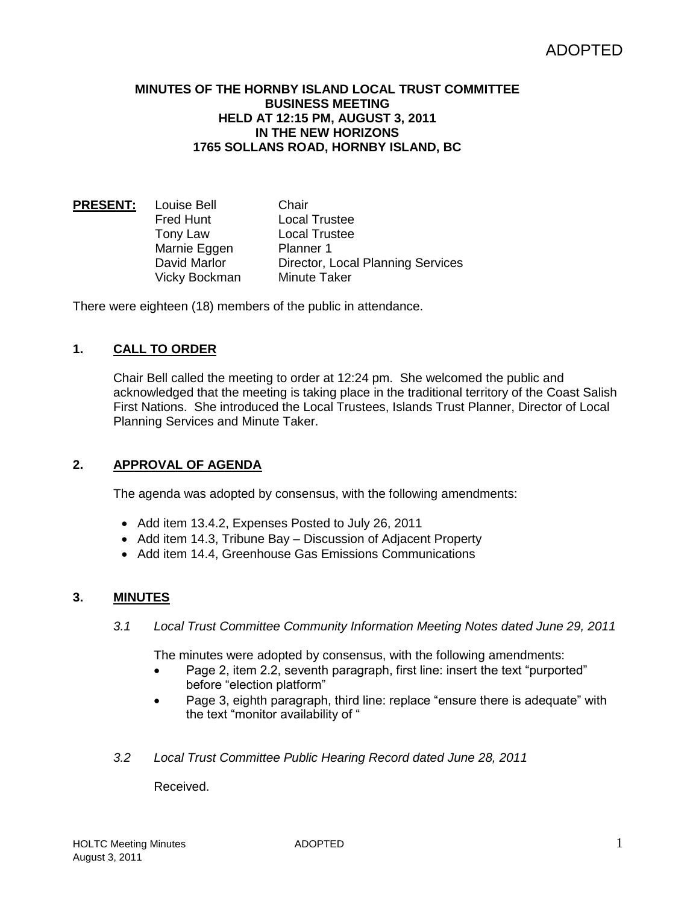### **MINUTES OF THE HORNBY ISLAND LOCAL TRUST COMMITTEE BUSINESS MEETING HELD AT 12:15 PM, AUGUST 3, 2011 IN THE NEW HORIZONS 1765 SOLLANS ROAD, HORNBY ISLAND, BC**

**PRESENT:** Louise Bell Chair Fred Hunt **Local Trustee** Tony Law Local Trustee Marnie Eggen Planner 1 David Marlor Director, Local Planning Services Vicky Bockman Minute Taker

There were eighteen (18) members of the public in attendance.

# **1. CALL TO ORDER**

Chair Bell called the meeting to order at 12:24 pm. She welcomed the public and acknowledged that the meeting is taking place in the traditional territory of the Coast Salish First Nations. She introduced the Local Trustees, Islands Trust Planner, Director of Local Planning Services and Minute Taker.

# **2. APPROVAL OF AGENDA**

The agenda was adopted by consensus, with the following amendments:

- Add item 13.4.2, Expenses Posted to July 26, 2011
- Add item 14.3, Tribune Bay Discussion of Adjacent Property
- Add item 14.4, Greenhouse Gas Emissions Communications

### **3. MINUTES**

*3.1 Local Trust Committee Community Information Meeting Notes dated June 29, 2011*

The minutes were adopted by consensus, with the following amendments:

- Page 2, item 2.2, seventh paragraph, first line: insert the text "purported" before "election platform"
- Page 3, eighth paragraph, third line: replace "ensure there is adequate" with the text "monitor availability of "
- *3.2 Local Trust Committee Public Hearing Record dated June 28, 2011*

Received.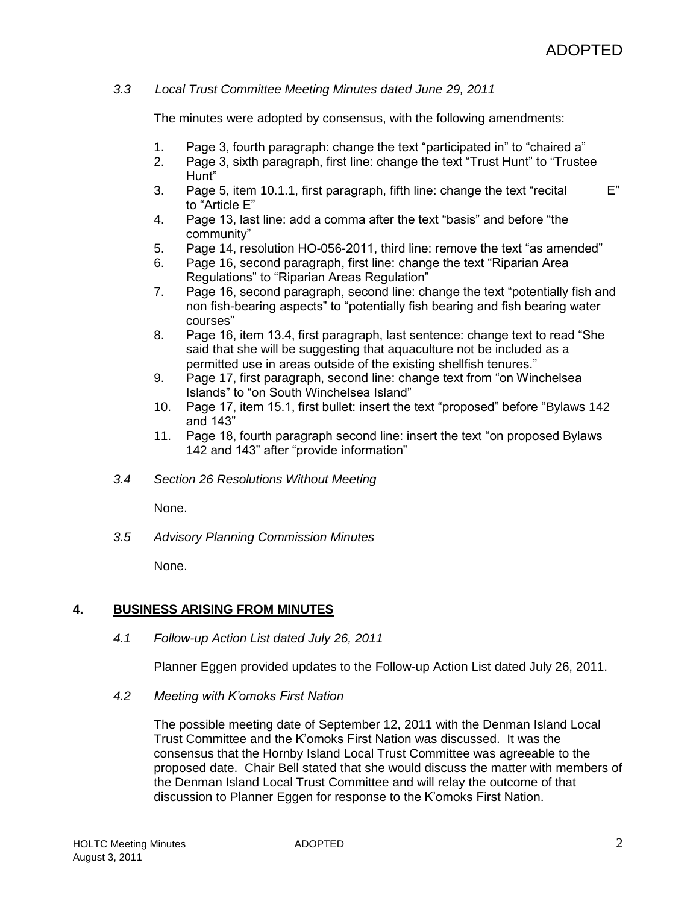## *3.3 Local Trust Committee Meeting Minutes dated June 29, 2011*

The minutes were adopted by consensus, with the following amendments:

- 1. Page 3, fourth paragraph: change the text "participated in" to "chaired a"
- 2. Page 3, sixth paragraph, first line: change the text "Trust Hunt" to "Trustee Hunt"
- 3. Page 5, item 10.1.1, first paragraph, fifth line: change the text "recital E" to "Article E"
- 4. Page 13, last line: add a comma after the text "basis" and before "the community"
- 5. Page 14, resolution HO-056-2011, third line: remove the text "as amended"
- 6. Page 16, second paragraph, first line: change the text "Riparian Area Regulations" to "Riparian Areas Regulation"
- 7. Page 16, second paragraph, second line: change the text "potentially fish and non fish-bearing aspects" to "potentially fish bearing and fish bearing water courses"
- 8. Page 16, item 13.4, first paragraph, last sentence: change text to read "She said that she will be suggesting that aquaculture not be included as a permitted use in areas outside of the existing shellfish tenures."
- 9. Page 17, first paragraph, second line: change text from "on Winchelsea Islands" to "on South Winchelsea Island"
- 10. Page 17, item 15.1, first bullet: insert the text "proposed" before "Bylaws 142 and 143"
- 11. Page 18, fourth paragraph second line: insert the text "on proposed Bylaws 142 and 143" after "provide information"
- *3.4 Section 26 Resolutions Without Meeting*

None.

*3.5 Advisory Planning Commission Minutes*

None.

# **4. BUSINESS ARISING FROM MINUTES**

*4.1 Follow-up Action List dated July 26, 2011*

Planner Eggen provided updates to the Follow-up Action List dated July 26, 2011.

*4.2 Meeting with K'omoks First Nation*

The possible meeting date of September 12, 2011 with the Denman Island Local Trust Committee and the K'omoks First Nation was discussed. It was the consensus that the Hornby Island Local Trust Committee was agreeable to the proposed date. Chair Bell stated that she would discuss the matter with members of the Denman Island Local Trust Committee and will relay the outcome of that discussion to Planner Eggen for response to the K'omoks First Nation.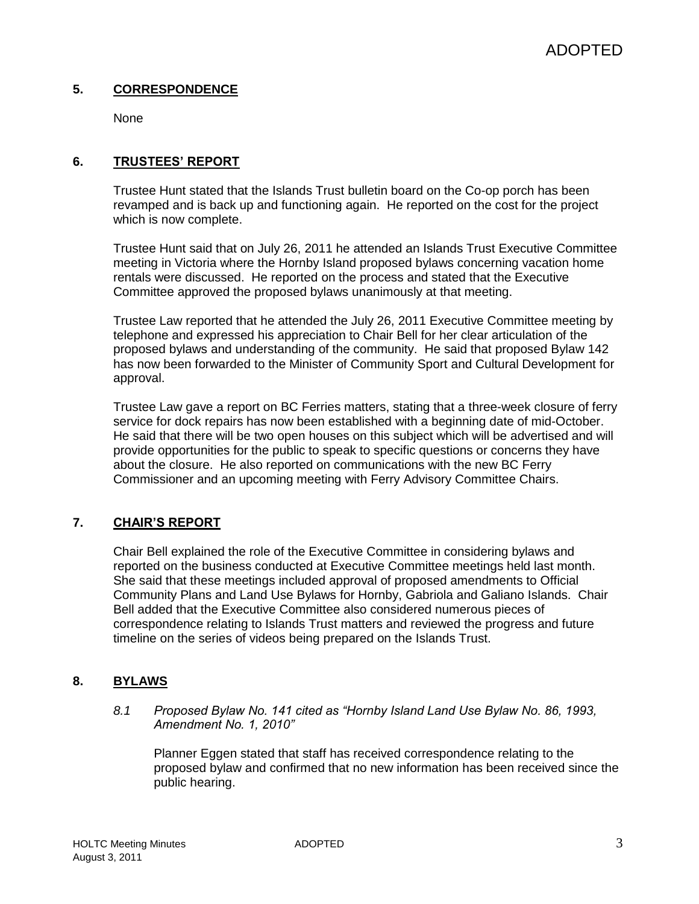# **5. CORRESPONDENCE**

None

# **6. TRUSTEES' REPORT**

Trustee Hunt stated that the Islands Trust bulletin board on the Co-op porch has been revamped and is back up and functioning again. He reported on the cost for the project which is now complete.

Trustee Hunt said that on July 26, 2011 he attended an Islands Trust Executive Committee meeting in Victoria where the Hornby Island proposed bylaws concerning vacation home rentals were discussed. He reported on the process and stated that the Executive Committee approved the proposed bylaws unanimously at that meeting.

Trustee Law reported that he attended the July 26, 2011 Executive Committee meeting by telephone and expressed his appreciation to Chair Bell for her clear articulation of the proposed bylaws and understanding of the community. He said that proposed Bylaw 142 has now been forwarded to the Minister of Community Sport and Cultural Development for approval.

Trustee Law gave a report on BC Ferries matters, stating that a three-week closure of ferry service for dock repairs has now been established with a beginning date of mid-October. He said that there will be two open houses on this subject which will be advertised and will provide opportunities for the public to speak to specific questions or concerns they have about the closure. He also reported on communications with the new BC Ferry Commissioner and an upcoming meeting with Ferry Advisory Committee Chairs.

# **7. CHAIR'S REPORT**

Chair Bell explained the role of the Executive Committee in considering bylaws and reported on the business conducted at Executive Committee meetings held last month. She said that these meetings included approval of proposed amendments to Official Community Plans and Land Use Bylaws for Hornby, Gabriola and Galiano Islands. Chair Bell added that the Executive Committee also considered numerous pieces of correspondence relating to Islands Trust matters and reviewed the progress and future timeline on the series of videos being prepared on the Islands Trust.

# **8. BYLAWS**

*8.1 Proposed Bylaw No. 141 cited as "Hornby Island Land Use Bylaw No. 86, 1993, Amendment No. 1, 2010"*

Planner Eggen stated that staff has received correspondence relating to the proposed bylaw and confirmed that no new information has been received since the public hearing.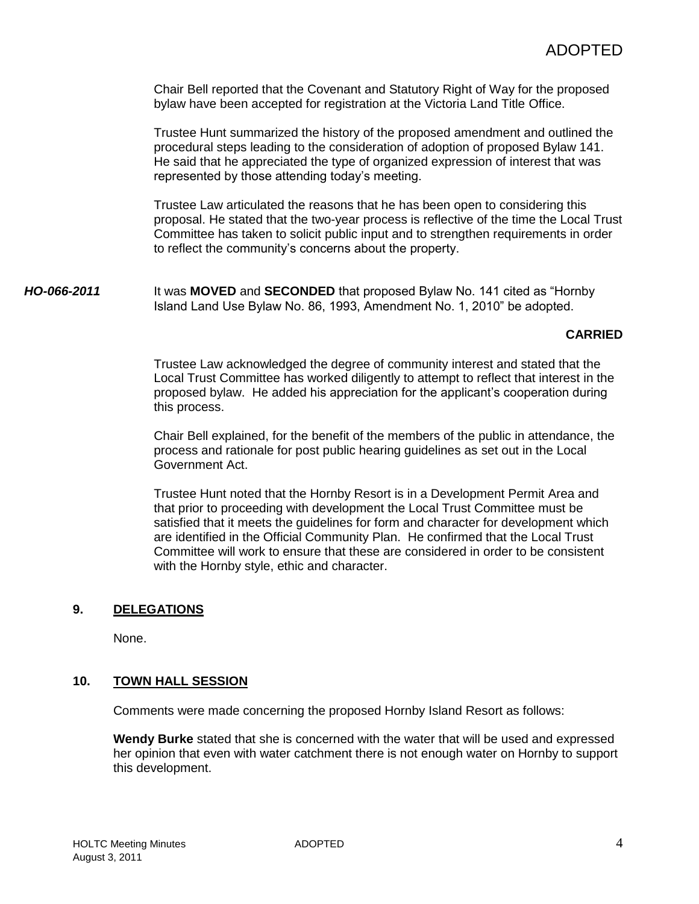Chair Bell reported that the Covenant and Statutory Right of Way for the proposed bylaw have been accepted for registration at the Victoria Land Title Office.

Trustee Hunt summarized the history of the proposed amendment and outlined the procedural steps leading to the consideration of adoption of proposed Bylaw 141. He said that he appreciated the type of organized expression of interest that was represented by those attending today's meeting.

Trustee Law articulated the reasons that he has been open to considering this proposal. He stated that the two-year process is reflective of the time the Local Trust Committee has taken to solicit public input and to strengthen requirements in order to reflect the community's concerns about the property.

*HO-066-2011* It was **MOVED** and **SECONDED** that proposed Bylaw No. 141 cited as "Hornby Island Land Use Bylaw No. 86, 1993, Amendment No. 1, 2010" be adopted.

### **CARRIED**

Trustee Law acknowledged the degree of community interest and stated that the Local Trust Committee has worked diligently to attempt to reflect that interest in the proposed bylaw. He added his appreciation for the applicant's cooperation during this process.

Chair Bell explained, for the benefit of the members of the public in attendance, the process and rationale for post public hearing guidelines as set out in the Local Government Act.

Trustee Hunt noted that the Hornby Resort is in a Development Permit Area and that prior to proceeding with development the Local Trust Committee must be satisfied that it meets the guidelines for form and character for development which are identified in the Official Community Plan. He confirmed that the Local Trust Committee will work to ensure that these are considered in order to be consistent with the Hornby style, ethic and character.

# **9. DELEGATIONS**

None.

### **10. TOWN HALL SESSION**

Comments were made concerning the proposed Hornby Island Resort as follows:

**Wendy Burke** stated that she is concerned with the water that will be used and expressed her opinion that even with water catchment there is not enough water on Hornby to support this development.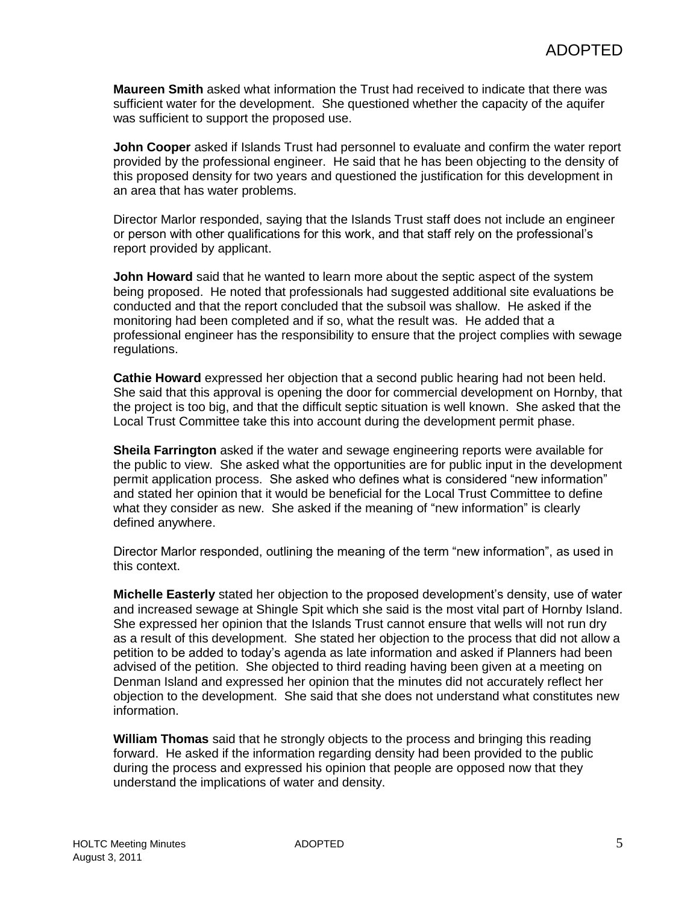**Maureen Smith** asked what information the Trust had received to indicate that there was sufficient water for the development. She questioned whether the capacity of the aquifer was sufficient to support the proposed use.

**John Cooper** asked if Islands Trust had personnel to evaluate and confirm the water report provided by the professional engineer. He said that he has been objecting to the density of this proposed density for two years and questioned the justification for this development in an area that has water problems.

Director Marlor responded, saying that the Islands Trust staff does not include an engineer or person with other qualifications for this work, and that staff rely on the professional's report provided by applicant.

**John Howard** said that he wanted to learn more about the septic aspect of the system being proposed. He noted that professionals had suggested additional site evaluations be conducted and that the report concluded that the subsoil was shallow. He asked if the monitoring had been completed and if so, what the result was. He added that a professional engineer has the responsibility to ensure that the project complies with sewage regulations.

**Cathie Howard** expressed her objection that a second public hearing had not been held. She said that this approval is opening the door for commercial development on Hornby, that the project is too big, and that the difficult septic situation is well known. She asked that the Local Trust Committee take this into account during the development permit phase.

**Sheila Farrington** asked if the water and sewage engineering reports were available for the public to view. She asked what the opportunities are for public input in the development permit application process. She asked who defines what is considered "new information" and stated her opinion that it would be beneficial for the Local Trust Committee to define what they consider as new. She asked if the meaning of "new information" is clearly defined anywhere.

Director Marlor responded, outlining the meaning of the term "new information", as used in this context.

**Michelle Easterly** stated her objection to the proposed development's density, use of water and increased sewage at Shingle Spit which she said is the most vital part of Hornby Island. She expressed her opinion that the Islands Trust cannot ensure that wells will not run dry as a result of this development. She stated her objection to the process that did not allow a petition to be added to today's agenda as late information and asked if Planners had been advised of the petition. She objected to third reading having been given at a meeting on Denman Island and expressed her opinion that the minutes did not accurately reflect her objection to the development. She said that she does not understand what constitutes new information.

**William Thomas** said that he strongly objects to the process and bringing this reading forward. He asked if the information regarding density had been provided to the public during the process and expressed his opinion that people are opposed now that they understand the implications of water and density.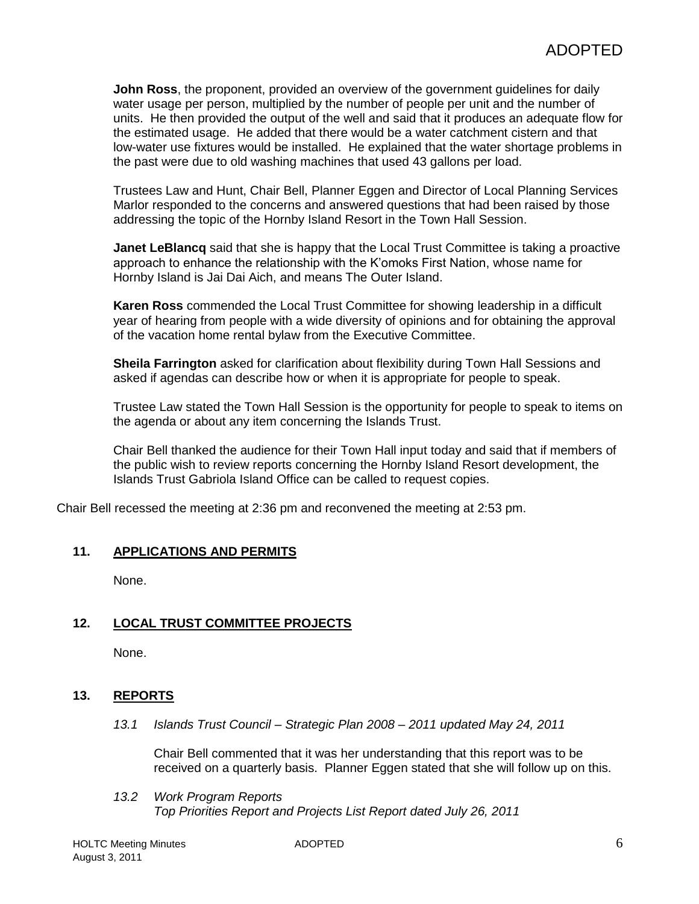**John Ross**, the proponent, provided an overview of the government guidelines for daily water usage per person, multiplied by the number of people per unit and the number of units. He then provided the output of the well and said that it produces an adequate flow for the estimated usage. He added that there would be a water catchment cistern and that low-water use fixtures would be installed. He explained that the water shortage problems in the past were due to old washing machines that used 43 gallons per load.

Trustees Law and Hunt, Chair Bell, Planner Eggen and Director of Local Planning Services Marlor responded to the concerns and answered questions that had been raised by those addressing the topic of the Hornby Island Resort in the Town Hall Session.

**Janet LeBlancq** said that she is happy that the Local Trust Committee is taking a proactive approach to enhance the relationship with the K'omoks First Nation, whose name for Hornby Island is Jai Dai Aich, and means The Outer Island.

**Karen Ross** commended the Local Trust Committee for showing leadership in a difficult year of hearing from people with a wide diversity of opinions and for obtaining the approval of the vacation home rental bylaw from the Executive Committee.

**Sheila Farrington** asked for clarification about flexibility during Town Hall Sessions and asked if agendas can describe how or when it is appropriate for people to speak.

Trustee Law stated the Town Hall Session is the opportunity for people to speak to items on the agenda or about any item concerning the Islands Trust.

Chair Bell thanked the audience for their Town Hall input today and said that if members of the public wish to review reports concerning the Hornby Island Resort development, the Islands Trust Gabriola Island Office can be called to request copies.

Chair Bell recessed the meeting at 2:36 pm and reconvened the meeting at 2:53 pm.

# **11. APPLICATIONS AND PERMITS**

None.

# **12. LOCAL TRUST COMMITTEE PROJECTS**

None.

# **13. REPORTS**

*13.1 Islands Trust Council – Strategic Plan 2008 – 2011 updated May 24, 2011*

Chair Bell commented that it was her understanding that this report was to be received on a quarterly basis. Planner Eggen stated that she will follow up on this.

*13.2 Work Program Reports Top Priorities Report and Projects List Report dated July 26, 2011*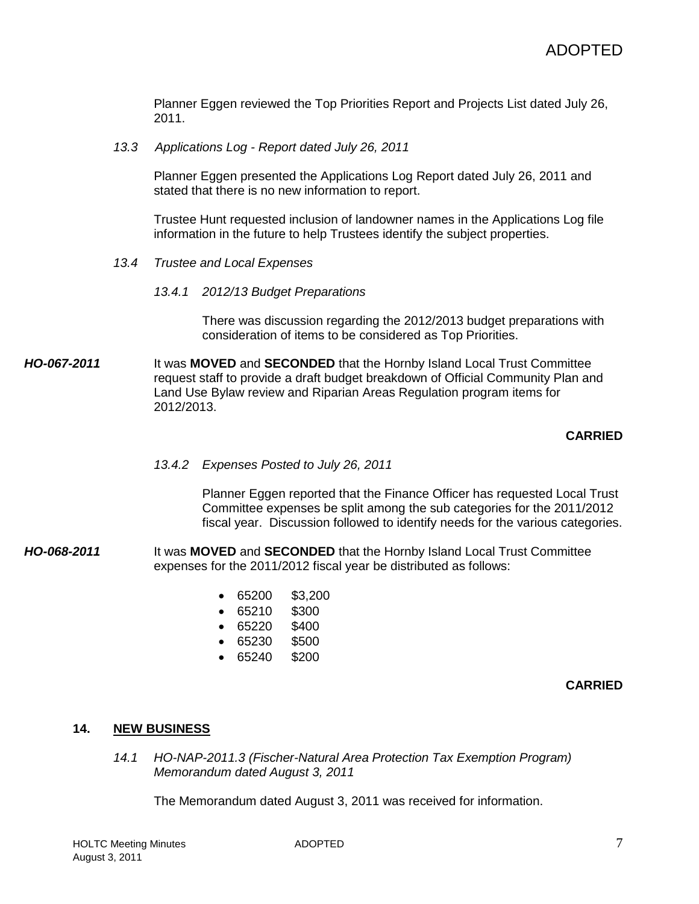Planner Eggen reviewed the Top Priorities Report and Projects List dated July 26, 2011.

*13.3 Applications Log - Report dated July 26, 2011*

Planner Eggen presented the Applications Log Report dated July 26, 2011 and stated that there is no new information to report.

Trustee Hunt requested inclusion of landowner names in the Applications Log file information in the future to help Trustees identify the subject properties.

- *13.4 Trustee and Local Expenses*
	- *13.4.1 2012/13 Budget Preparations*

There was discussion regarding the 2012/2013 budget preparations with consideration of items to be considered as Top Priorities.

*HO-067-2011* It was **MOVED** and **SECONDED** that the Hornby Island Local Trust Committee request staff to provide a draft budget breakdown of Official Community Plan and Land Use Bylaw review and Riparian Areas Regulation program items for 2012/2013.

### **CARRIED**

*13.4.2 Expenses Posted to July 26, 2011*

Planner Eggen reported that the Finance Officer has requested Local Trust Committee expenses be split among the sub categories for the 2011/2012 fiscal year. Discussion followed to identify needs for the various categories.

- *HO-068-2011* It was **MOVED** and **SECONDED** that the Hornby Island Local Trust Committee expenses for the 2011/2012 fiscal year be distributed as follows:
	- 65200 \$3,200
	- 65210 \$300
	- 65220 \$400
	- 65230 \$500
	- 65240 \$200

### **CARRIED**

### **14. NEW BUSINESS**

*14.1 HO-NAP-2011.3 (Fischer-Natural Area Protection Tax Exemption Program) Memorandum dated August 3, 2011*

The Memorandum dated August 3, 2011 was received for information.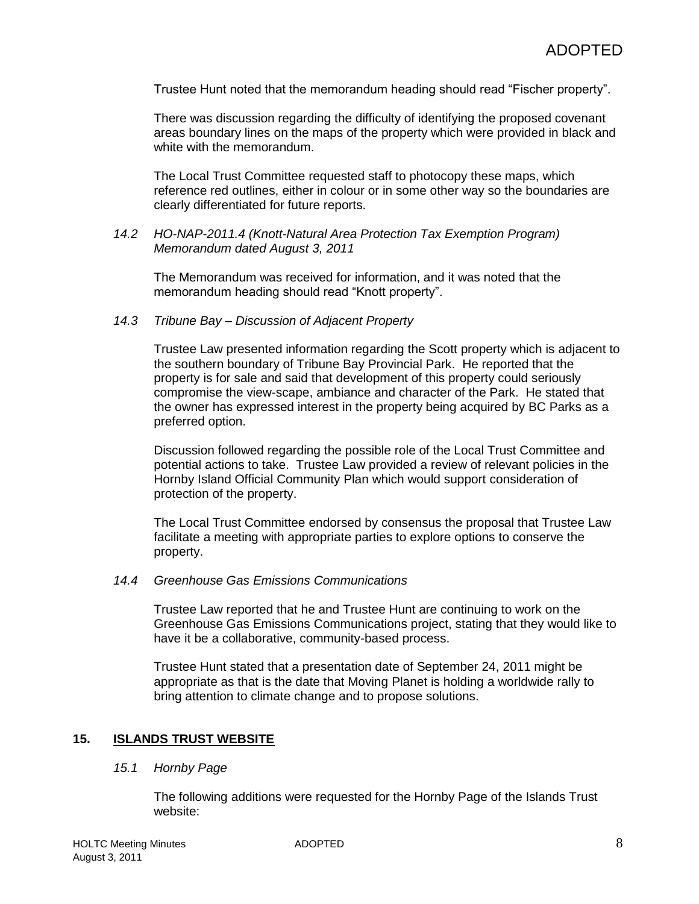Trustee Hunt noted that the memorandum heading should read "Fischer property".

There was discussion regarding the difficulty of identifying the proposed covenant areas boundary lines on the maps of the property which were provided in black and white with the memorandum.

The Local Trust Committee requested staff to photocopy these maps, which reference red outlines, either in colour or in some other way so the boundaries are clearly differentiated for future reports.

### *14.2 HO-NAP-2011.4 (Knott-Natural Area Protection Tax Exemption Program) Memorandum dated August 3, 2011*

The Memorandum was received for information, and it was noted that the memorandum heading should read "Knott property".

## *14.3 Tribune Bay – Discussion of Adjacent Property*

Trustee Law presented information regarding the Scott property which is adjacent to the southern boundary of Tribune Bay Provincial Park. He reported that the property is for sale and said that development of this property could seriously compromise the view-scape, ambiance and character of the Park. He stated that the owner has expressed interest in the property being acquired by BC Parks as a preferred option.

Discussion followed regarding the possible role of the Local Trust Committee and potential actions to take. Trustee Law provided a review of relevant policies in the Hornby Island Official Community Plan which would support consideration of protection of the property.

The Local Trust Committee endorsed by consensus the proposal that Trustee Law facilitate a meeting with appropriate parties to explore options to conserve the property.

## *14.4 Greenhouse Gas Emissions Communications*

Trustee Law reported that he and Trustee Hunt are continuing to work on the Greenhouse Gas Emissions Communications project, stating that they would like to have it be a collaborative, community-based process.

Trustee Hunt stated that a presentation date of September 24, 2011 might be appropriate as that is the date that Moving Planet is holding a worldwide rally to bring attention to climate change and to propose solutions.

# **15. ISLANDS TRUST WEBSITE**

### *15.1 Hornby Page*

The following additions were requested for the Hornby Page of the Islands Trust website: